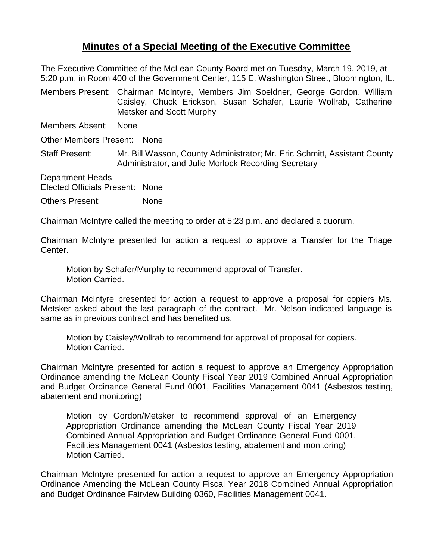## **Minutes of a Special Meeting of the Executive Committee**

The Executive Committee of the McLean County Board met on Tuesday, March 19, 2019, at 5:20 p.m. in Room 400 of the Government Center, 115 E. Washington Street, Bloomington, IL.

Members Present: Chairman McIntyre, Members Jim Soeldner, George Gordon, William Caisley, Chuck Erickson, Susan Schafer, Laurie Wollrab, Catherine Metsker and Scott Murphy

Members Absent: None

Other Members Present: None

Staff Present: Mr. Bill Wasson, County Administrator; Mr. Eric Schmitt, Assistant County Administrator, and Julie Morlock Recording Secretary

Department Heads

Elected Officials Present: None

Others Present: None

Chairman McIntyre called the meeting to order at 5:23 p.m. and declared a quorum.

Chairman McIntyre presented for action a request to approve a Transfer for the Triage Center.

Motion by Schafer/Murphy to recommend approval of Transfer. Motion Carried.

Chairman McIntyre presented for action a request to approve a proposal for copiers Ms. Metsker asked about the last paragraph of the contract. Mr. Nelson indicated language is same as in previous contract and has benefited us.

Motion by Caisley/Wollrab to recommend for approval of proposal for copiers. Motion Carried.

Chairman McIntyre presented for action a request to approve an Emergency Appropriation Ordinance amending the McLean County Fiscal Year 2019 Combined Annual Appropriation and Budget Ordinance General Fund 0001, Facilities Management 0041 (Asbestos testing, abatement and monitoring)

Motion by Gordon/Metsker to recommend approval of an Emergency Appropriation Ordinance amending the McLean County Fiscal Year 2019 Combined Annual Appropriation and Budget Ordinance General Fund 0001, Facilities Management 0041 (Asbestos testing, abatement and monitoring) Motion Carried.

Chairman McIntyre presented for action a request to approve an Emergency Appropriation Ordinance Amending the McLean County Fiscal Year 2018 Combined Annual Appropriation and Budget Ordinance Fairview Building 0360, Facilities Management 0041.